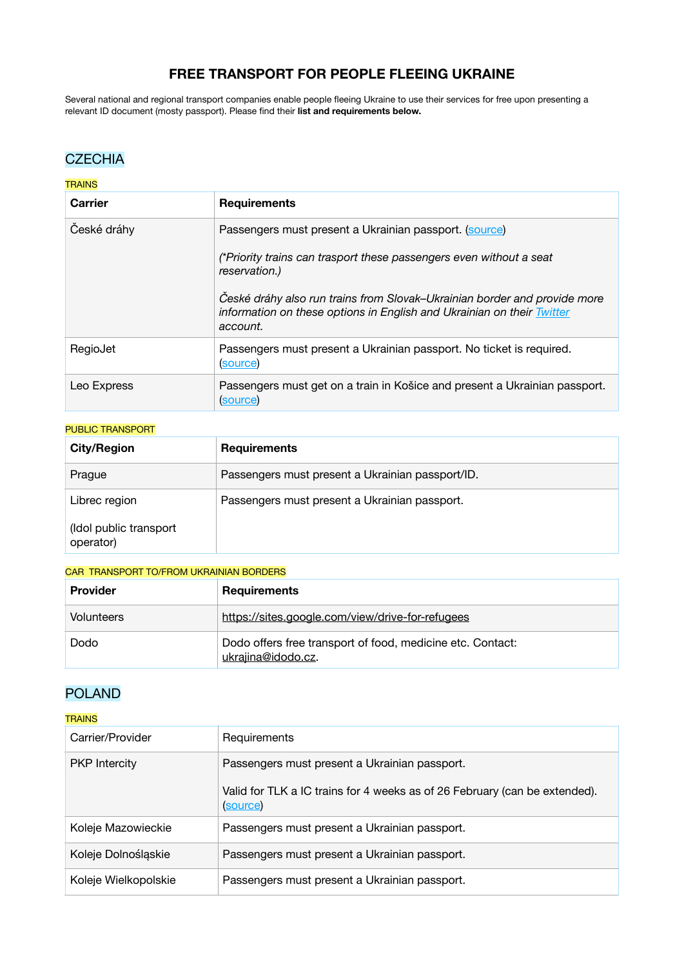# **FREE TRANSPORT FOR PEOPLE FLEEING UKRAINE**

Several national and regional transport companies enable people fleeing Ukraine to use their services for free upon presenting a relevant ID document (mosty passport). Please find their **list and requirements below.**

## **CZECHIA**

### **TRAINS**

| <b>Carrier</b> | <b>Requirements</b>                                                                                                                                             |
|----------------|-----------------------------------------------------------------------------------------------------------------------------------------------------------------|
| České dráhy    | Passengers must present a Ukrainian passport. (source)                                                                                                          |
|                | (*Priority trains can trasport these passengers even without a seat<br>reservation.)                                                                            |
|                | České dráhy also run trains from Slovak–Ukrainian border and provide more<br>information on these options in English and Ukrainian on their Twitter<br>account. |
| RegioJet       | Passengers must present a Ukrainian passport. No ticket is required.<br>(source)                                                                                |
| Leo Express    | Passengers must get on a train in Košice and present a Ukrainian passport.<br>(source)                                                                          |

#### PUBLIC TRANSPORT

| <b>City/Region</b>                  | <b>Requirements</b>                              |
|-------------------------------------|--------------------------------------------------|
| Prague                              | Passengers must present a Ukrainian passport/ID. |
| Librec region                       | Passengers must present a Ukrainian passport.    |
| (Idol public transport<br>operator) |                                                  |

#### CAR TRANSPORT TO/FROM UKRAINIAN BORDERS

| <b>Provider</b>   | <b>Requirements</b>                                                              |
|-------------------|----------------------------------------------------------------------------------|
| <b>Volunteers</b> | https://sites.google.com/view/drive-for-refugees                                 |
| Dodo              | Dodo offers free transport of food, medicine etc. Contact:<br>ukrajina@idodo.cz. |

## POLAND

#### **TRAINS**

| Carrier/Provider     | Requirements                                                                                                                            |
|----------------------|-----------------------------------------------------------------------------------------------------------------------------------------|
| <b>PKP</b> Intercity | Passengers must present a Ukrainian passport.<br>Valid for TLK a IC trains for 4 weeks as of 26 February (can be extended).<br>(source) |
| Koleje Mazowieckie   | Passengers must present a Ukrainian passport.                                                                                           |
| Koleje Dolnośląskie  | Passengers must present a Ukrainian passport.                                                                                           |
| Koleje Wielkopolskie | Passengers must present a Ukrainian passport.                                                                                           |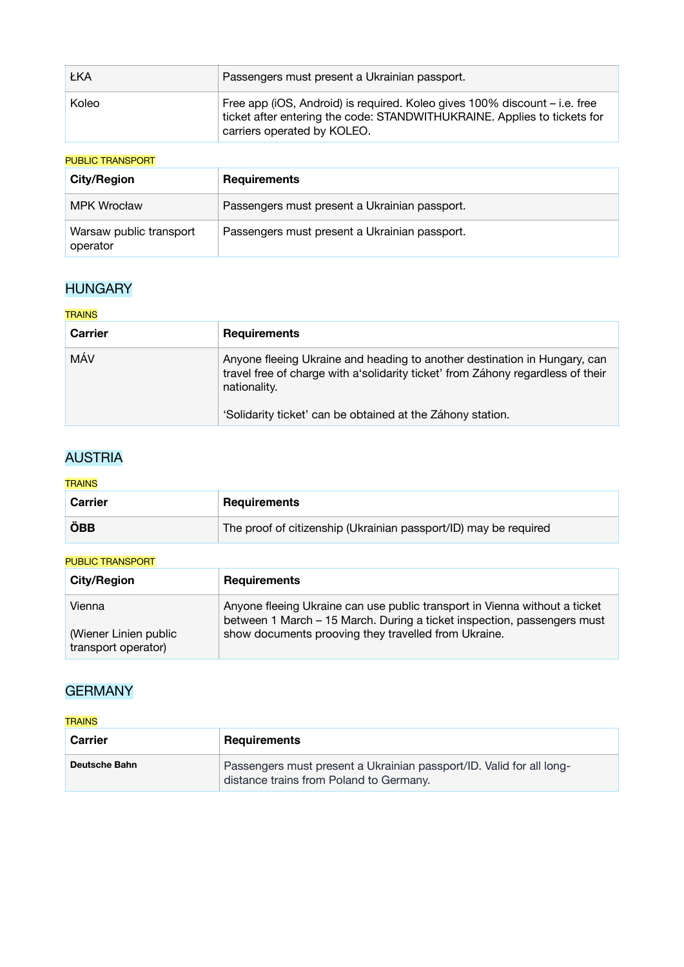| ŁKA   | Passengers must present a Ukrainian passport.                                                                                                                                         |
|-------|---------------------------------------------------------------------------------------------------------------------------------------------------------------------------------------|
| Koleo | Free app (iOS, Android) is required. Koleo gives 100% discount – i.e. free<br>ticket after entering the code: STANDWITHUKRAINE. Applies to tickets for<br>carriers operated by KOLEO. |

## PUBLIC TRANSPORT

| <b>City/Region</b>                  | <b>Requirements</b>                           |
|-------------------------------------|-----------------------------------------------|
| <b>MPK Wrocław</b>                  | Passengers must present a Ukrainian passport. |
| Warsaw public transport<br>operator | Passengers must present a Ukrainian passport. |

# **HUNGARY**

### **TRAINS**

| <b>Carrier</b> | <b>Requirements</b>                                                                                                                                                          |
|----------------|------------------------------------------------------------------------------------------------------------------------------------------------------------------------------|
| MÁV            | Anyone fleeing Ukraine and heading to another destination in Hungary, can<br>travel free of charge with a solidarity ticket' from Záhony regardless of their<br>nationality. |
|                | 'Solidarity ticket' can be obtained at the Záhony station.                                                                                                                   |

# AUSTRIA

### **TRAINS**

| <b>Carrier</b> | <b>Requirements</b>                                              |
|----------------|------------------------------------------------------------------|
| ÖBB            | The proof of citizenship (Ukrainian passport/ID) may be required |

### PUBLIC TRANSPORT

| <b>City/Region</b>                           | <b>Requirements</b>                                                                                                                                   |
|----------------------------------------------|-------------------------------------------------------------------------------------------------------------------------------------------------------|
| Vienna                                       | Anyone fleeing Ukraine can use public transport in Vienna without a ticket<br>between 1 March - 15 March. During a ticket inspection, passengers must |
| (Wiener Linien public<br>transport operator) | show documents prooving they travelled from Ukraine.                                                                                                  |

# **GERMANY**

## **TRAINS**

| <b>Carrier</b>       | <b>Requirements</b>                                                                                             |
|----------------------|-----------------------------------------------------------------------------------------------------------------|
| <b>Deutsche Bahn</b> | Passengers must present a Ukrainian passport/ID. Valid for all long-<br>distance trains from Poland to Germany. |